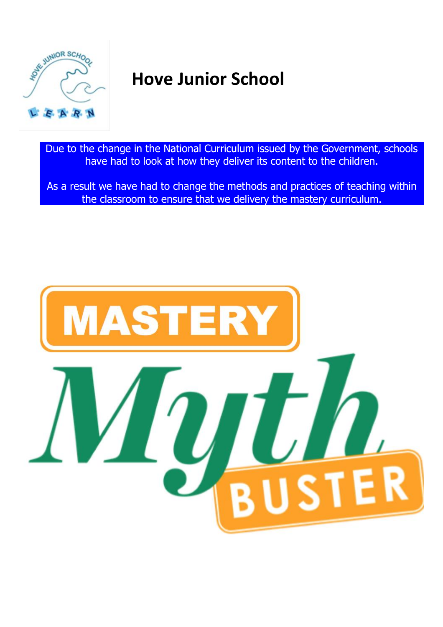

# **Hove Junior School**

Due to the change in the National Curriculum issued by the Government, schools have had to look at how they deliver its content to the children.

As a result we have had to change the methods and practices of teaching within the classroom to ensure that we delivery the mastery curriculum.

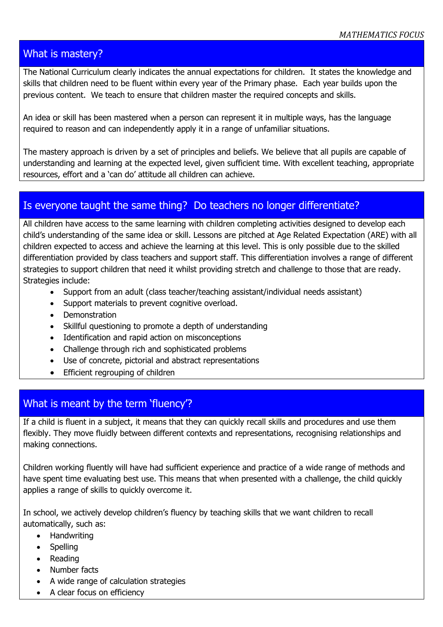## What is mastery?

The National Curriculum clearly indicates the annual expectations for children. It states the knowledge and skills that children need to be fluent within every year of the Primary phase. Each year builds upon the previous content. We teach to ensure that children master the required concepts and skills.

An idea or skill has been mastered when a person can represent it in multiple ways, has the language required to reason and can independently apply it in a range of unfamiliar situations.

The mastery approach is driven by a set of principles and beliefs. We believe that all pupils are capable of understanding and learning at the expected level, given sufficient time. With excellent teaching, appropriate resources, effort and a 'can do' attitude all children can achieve.

## Is everyone taught the same thing? Do teachers no longer differentiate?

All children have access to the same learning with children completing activities designed to develop each child's understanding of the same idea or skill. Lessons are pitched at Age Related Expectation (ARE) with all children expected to access and achieve the learning at this level. This is only possible due to the skilled differentiation provided by class teachers and support staff. This differentiation involves a range of different strategies to support children that need it whilst providing stretch and challenge to those that are ready. Strategies include:

- Support from an adult (class teacher/teaching assistant/individual needs assistant)
- Support materials to prevent cognitive overload.
- Demonstration
- Skillful questioning to promote a depth of understanding
- Identification and rapid action on misconceptions
- Challenge through rich and sophisticated problems
- Use of concrete, pictorial and abstract representations
- Efficient regrouping of children

# What is meant by the term 'fluency'?

If a child is fluent in a subject, it means that they can quickly recall skills and procedures and use them flexibly. They move fluidly between different contexts and representations, recognising relationships and making connections.

Children working fluently will have had sufficient experience and practice of a wide range of methods and have spent time evaluating best use. This means that when presented with a challenge, the child quickly applies a range of skills to quickly overcome it.

In school, we actively develop children's fluency by teaching skills that we want children to recall automatically, such as:

- Handwriting
- Spelling
- Reading
- Number facts
- A wide range of calculation strategies
- A clear focus on efficiency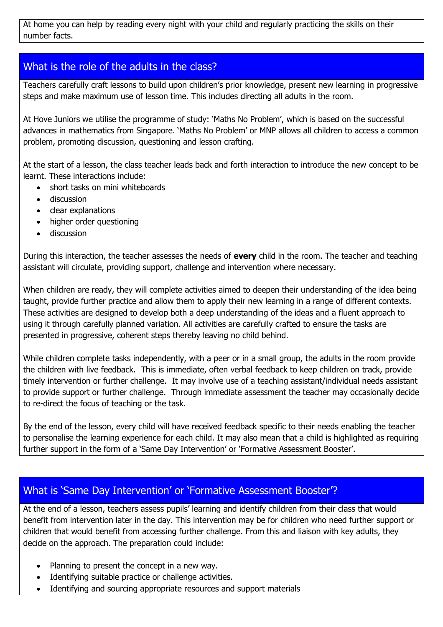At home you can help by reading every night with your child and regularly practicing the skills on their number facts.

## What is the role of the adults in the class?

Teachers carefully craft lessons to build upon children's prior knowledge, present new learning in progressive steps and make maximum use of lesson time. This includes directing all adults in the room.

At Hove Juniors we utilise the programme of study: 'Maths No Problem', which is based on the successful advances in mathematics from Singapore. 'Maths No Problem' or MNP allows all children to access a common problem, promoting discussion, questioning and lesson crafting.

At the start of a lesson, the class teacher leads back and forth interaction to introduce the new concept to be learnt. These interactions include:

- short tasks on mini whiteboards
- **•** discussion
- clear explanations
- higher order questioning
- **•** discussion

During this interaction, the teacher assesses the needs of **every** child in the room. The teacher and teaching assistant will circulate, providing support, challenge and intervention where necessary.

When children are ready, they will complete activities aimed to deepen their understanding of the idea being taught, provide further practice and allow them to apply their new learning in a range of different contexts. These activities are designed to develop both a deep understanding of the ideas and a fluent approach to using it through carefully planned variation. All activities are carefully crafted to ensure the tasks are presented in progressive, coherent steps thereby leaving no child behind.

While children complete tasks independently, with a peer or in a small group, the adults in the room provide the children with live feedback. This is immediate, often verbal feedback to keep children on track, provide timely intervention or further challenge. It may involve use of a teaching assistant/individual needs assistant to provide support or further challenge. Through immediate assessment the teacher may occasionally decide to re-direct the focus of teaching or the task.

By the end of the lesson, every child will have received feedback specific to their needs enabling the teacher to personalise the learning experience for each child. It may also mean that a child is highlighted as requiring further support in the form of a 'Same Day Intervention' or 'Formative Assessment Booster'.

## What is 'Same Day Intervention' or 'Formative Assessment Booster'?

At the end of a lesson, teachers assess pupils' learning and identify children from their class that would benefit from intervention later in the day. This intervention may be for children who need further support or children that would benefit from accessing further challenge. From this and liaison with key adults, they decide on the approach. The preparation could include:

- Planning to present the concept in a new way.
- Identifying suitable practice or challenge activities.
- Identifying and sourcing appropriate resources and support materials